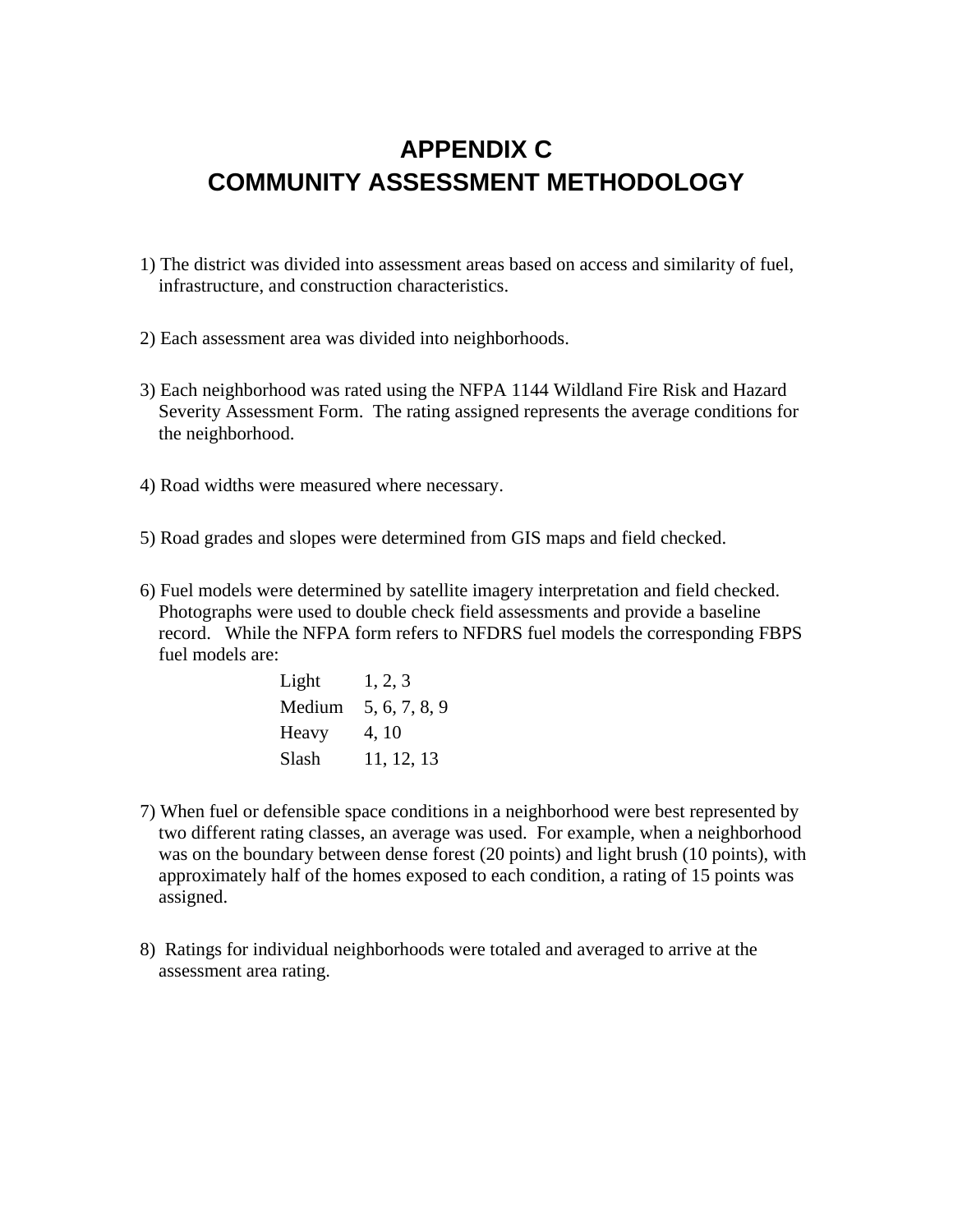## **APPENDIX C COMMUNITY ASSESSMENT METHODOLOGY**

- 1) The district was divided into assessment areas based on access and similarity of fuel, infrastructure, and construction characteristics.
- 2) Each assessment area was divided into neighborhoods.
- 3) Each neighborhood was rated using the NFPA 1144 Wildland Fire Risk and Hazard Severity Assessment Form. The rating assigned represents the average conditions for the neighborhood.
- 4) Road widths were measured where necessary.
- 5) Road grades and slopes were determined from GIS maps and field checked.
- 6) Fuel models were determined by satellite imagery interpretation and field checked. Photographs were used to double check field assessments and provide a baseline record. While the NFPA form refers to NFDRS fuel models the corresponding FBPS fuel models are:

| Light | 1, 2, 3              |
|-------|----------------------|
|       | Medium 5, 6, 7, 8, 9 |
| Heavy | 4, 10                |
| Slash | 11, 12, 13           |

- 7) When fuel or defensible space conditions in a neighborhood were best represented by two different rating classes, an average was used. For example, when a neighborhood was on the boundary between dense forest (20 points) and light brush (10 points), with approximately half of the homes exposed to each condition, a rating of 15 points was assigned.
- 8) Ratings for individual neighborhoods were totaled and averaged to arrive at the assessment area rating.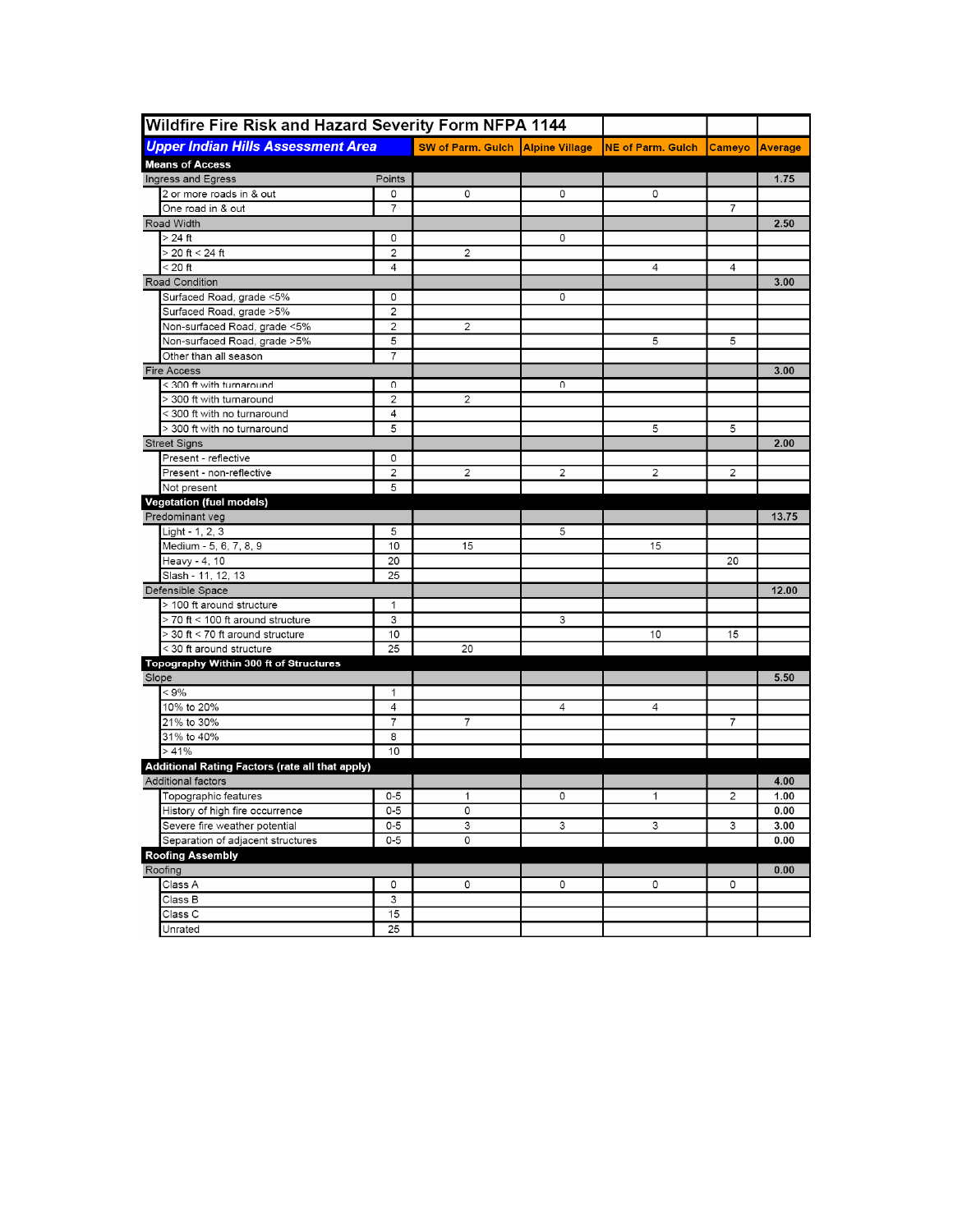| <b>Wildfire Fire Risk and Hazard Severity Form NFPA 1144</b>                 |                 |                                           |                |                          |                       |       |
|------------------------------------------------------------------------------|-----------------|-------------------------------------------|----------------|--------------------------|-----------------------|-------|
| <b>Upper Indian Hills Assessment Area</b>                                    |                 | <b>SW of Parm. Gulch   Alpine Village</b> |                | <b>NE of Parm. Gulch</b> | <b>Cameyo Average</b> |       |
| <b>Means of Access</b>                                                       |                 |                                           |                |                          |                       |       |
| Ingress and Egress                                                           | Points          |                                           |                |                          |                       | 1.75  |
| 2 or more roads in & out                                                     | 0               | 0                                         | 0              | 0                        |                       |       |
| One road in & out                                                            | 7               |                                           |                |                          | 7                     |       |
| Road Width                                                                   |                 |                                           |                |                          |                       | 2.50  |
| $>24$ ft                                                                     | 0               |                                           | 0              |                          |                       |       |
| > 20 ft < 24 ft                                                              | 2               | $\overline{c}$                            |                |                          |                       |       |
| $< 20$ ft                                                                    | 4               |                                           |                | 4                        | 4                     |       |
| Road Condition                                                               |                 |                                           |                |                          |                       | 3.00  |
| Surfaced Road, grade <5%                                                     | 0               |                                           | 0              |                          |                       |       |
| Surfaced Road, grade >5%                                                     | 2               |                                           |                |                          |                       |       |
| Non-surfaced Road, grade <5%                                                 | 2               | 2                                         |                |                          |                       |       |
| Non-surfaced Road, grade >5%                                                 | 5               |                                           |                | 5                        | 5                     |       |
| Other than all season                                                        | 7               |                                           |                |                          |                       |       |
| <b>Fire Access</b>                                                           |                 |                                           |                |                          |                       | 3.00  |
| < 300 ft with turnaround                                                     | 0               |                                           | 0              |                          |                       |       |
| > 300 ft with turnaround                                                     | 2               | 2                                         |                |                          |                       |       |
| < 300 ft with no turnaround                                                  | 4               |                                           |                |                          |                       |       |
| > 300 ft with no turnaround                                                  | 5               |                                           |                | 5                        | 5                     |       |
| <b>Street Signs</b>                                                          |                 |                                           |                |                          |                       | 2.00  |
| Present - reflective                                                         | 0               |                                           |                |                          |                       |       |
| Present - non-reflective                                                     | 2               | 2                                         | $\overline{2}$ | 2                        | 2                     |       |
| Not present                                                                  | 5               |                                           |                |                          |                       |       |
| <b>Vegetation (fuel models)</b>                                              |                 |                                           |                |                          |                       |       |
| Predominant veg                                                              |                 |                                           |                |                          |                       | 13.75 |
| Light - 1, 2, 3                                                              | 5               |                                           | 5              |                          |                       |       |
| Medium - 5, 6, 7, 8, 9                                                       | 10              | 15                                        |                | 15                       |                       |       |
| Heavy - 4, 10                                                                | 20              |                                           |                |                          | 20                    |       |
| Slash - 11, 12, 13                                                           | 25              |                                           |                |                          |                       |       |
| Defensible Space                                                             |                 |                                           |                |                          |                       | 12.00 |
| > 100 ft around structure                                                    | 1               |                                           |                |                          |                       |       |
| > 70 ft < 100 ft around structure                                            | 3               |                                           | 3              |                          |                       |       |
| > 30 ft < 70 ft around structure                                             | 10              |                                           |                | 10                       | 15                    |       |
| < 30 ft around structure                                                     | 25              | 20                                        |                |                          |                       |       |
| Topography Within 300 ft of Structures                                       |                 |                                           |                |                          |                       |       |
| Slope                                                                        |                 |                                           |                |                          |                       | 5.50  |
| $< 9\%$                                                                      | 1               |                                           |                |                          |                       |       |
| 10% to 20%                                                                   | 4               |                                           | 4              | 4                        |                       |       |
| 21% to 30%                                                                   | 7               | 7                                         |                |                          | 7                     |       |
| 31% to 40%<br>>41%                                                           | 8<br>10         |                                           |                |                          |                       |       |
|                                                                              |                 |                                           |                |                          |                       |       |
| <b>Additional Rating Factors (rate all that apply)</b><br>Additional factors |                 |                                           |                |                          |                       | 4.00  |
| Topographic features                                                         | 0-5             | 1                                         | 0              | 1                        | 2                     | 1.00  |
| History of high fire occurrence                                              | $0 - 5$         | 0                                         |                |                          |                       | 0.00  |
| Severe fire weather potential                                                | $0-5$           | 3                                         | 3              | 3                        | 3                     | 3.00  |
| Separation of adjacent structures                                            | $0-5$           | 0                                         |                |                          |                       | 0.00  |
| <b>Roofing Assembly</b>                                                      |                 |                                           |                |                          |                       |       |
| Roofing                                                                      |                 |                                           |                |                          |                       | 0.00  |
| Class A                                                                      | 0               | 0                                         | 0              | 0                        | 0                     |       |
| Class B                                                                      | 3               |                                           |                |                          |                       |       |
| Class C                                                                      | 15              |                                           |                |                          |                       |       |
| Unrated                                                                      | $\overline{25}$ |                                           |                |                          |                       |       |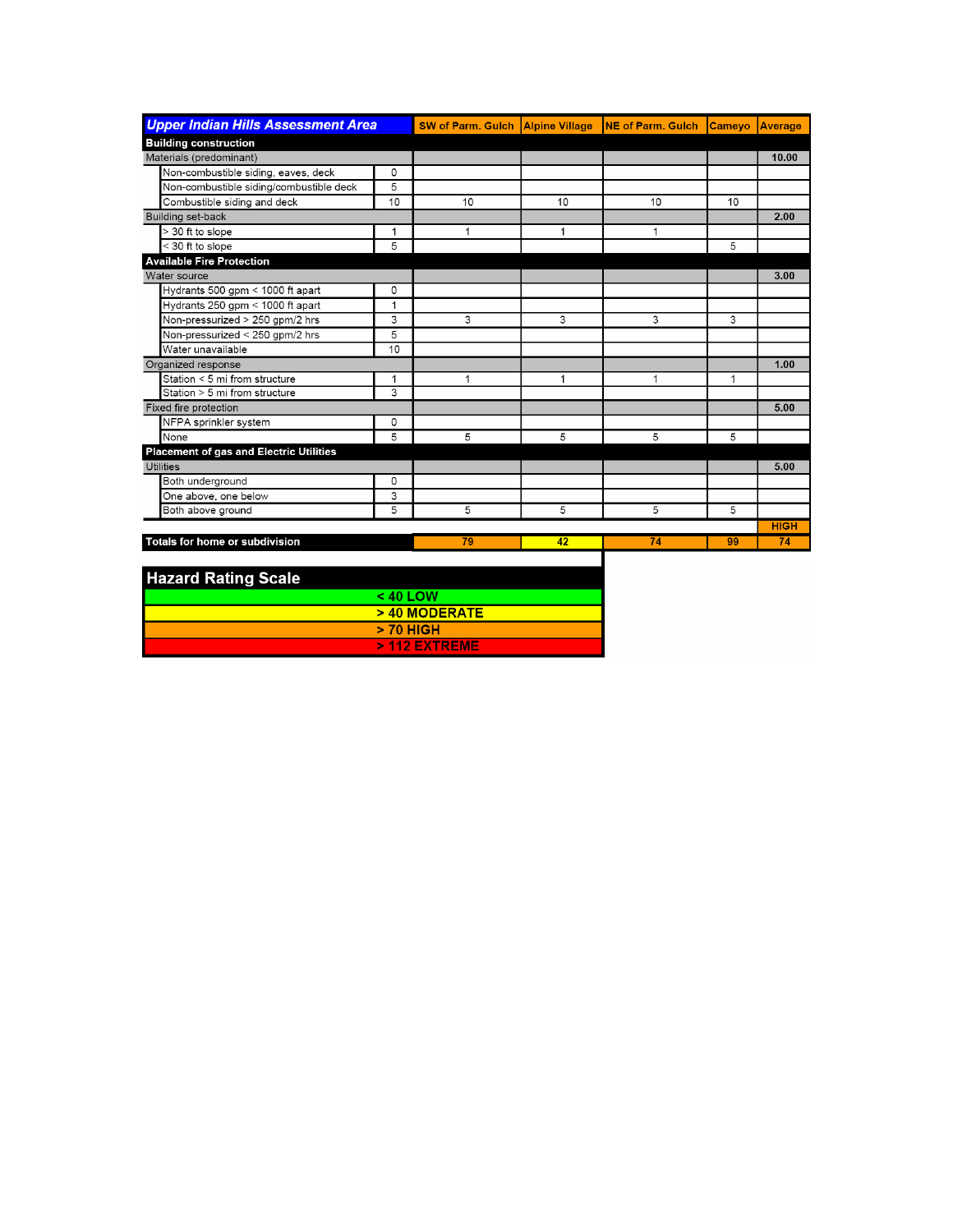| <b>Upper Indian Hills Assessment Area</b>      |              | <b>SW of Parm. Gulch Alpine Village</b> |    | <b>INE of Parm, Gulch</b> | <b>Cameyo</b> | Average     |
|------------------------------------------------|--------------|-----------------------------------------|----|---------------------------|---------------|-------------|
| <b>Building construction</b>                   |              |                                         |    |                           |               |             |
| Materials (predominant)                        |              |                                         |    |                           |               | 10.00       |
| Non-combustible siding, eaves, deck            | 0            |                                         |    |                           |               |             |
| Non-combustible siding/combustible deck        | 5            |                                         |    |                           |               |             |
| Combustible siding and deck                    | 10           | 10                                      | 10 | 10                        | 10            |             |
| Building set-back                              |              |                                         |    |                           |               | 2.00        |
| > 30 ft to slope                               | 1            | 1                                       | 1  | 1                         |               |             |
| < 30 ft to slope                               | 5            |                                         |    |                           | 5             |             |
| <b>Available Fire Protection</b>               |              |                                         |    |                           |               |             |
| Water source                                   |              |                                         |    |                           |               | 3.00        |
| Hydrants 500 gpm < 1000 ft apart               | 0            |                                         |    |                           |               |             |
| Hydrants 250 gpm < 1000 ft apart               | $\mathbf{1}$ |                                         |    |                           |               |             |
| Non-pressurized > 250 gpm/2 hrs                | 3            | 3                                       | 3  | 3                         | 3             |             |
| Non-pressurized < 250 gpm/2 hrs                | 5            |                                         |    |                           |               |             |
| Water unavailable                              | 10           |                                         |    |                           |               |             |
| Organized response                             |              |                                         |    |                           |               | 1.00        |
| Station < 5 mi from structure                  | $\mathbf{1}$ | 1                                       | 1  | 1                         | 1             |             |
| Station > 5 mi from structure                  | 3            |                                         |    |                           |               |             |
| Fixed fire protection                          |              |                                         |    |                           |               | 5.00        |
| NFPA sprinkler system                          | 0            |                                         |    |                           |               |             |
| None                                           | 5            | 5                                       | 5  | 5                         | 5             |             |
| <b>Placement of gas and Electric Utilities</b> |              |                                         |    |                           |               |             |
| Utilities                                      |              |                                         |    |                           |               | 5.00        |
| Both underground                               | 0            |                                         |    |                           |               |             |
| One above, one below                           | 3            |                                         |    |                           |               |             |
| Both above ground                              | 5            | 5                                       | 5  | 5                         | 5             |             |
|                                                |              |                                         |    |                           |               | <b>HIGH</b> |
| <b>Totals for home or subdivision</b>          |              | 79                                      | 42 | 74                        | 99            | 74          |

| <b>Hazard Rating Scale</b> |                 |
|----------------------------|-----------------|
|                            | $< 40$ LOW      |
|                            | $>$ 40 MODERATE |
|                            | $> 70$ HIGH     |
|                            | $>$ 112 EXTREME |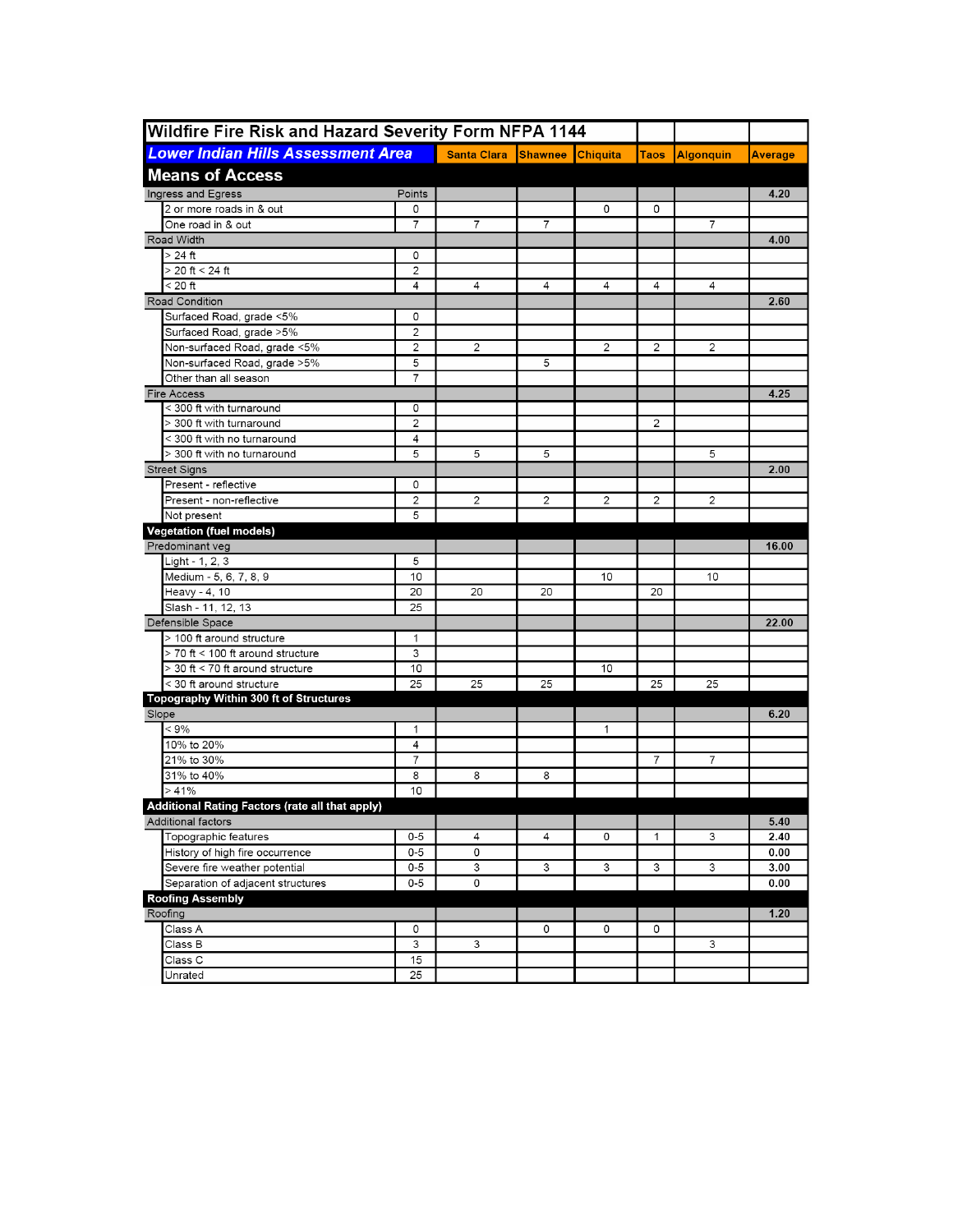| Wildfire Fire Risk and Hazard Severity Form NFPA 1144<br><b>Lower Indian Hills Assessment Area</b> |                | <b>Santa Clara</b>      | <b>Shawnee Chiquita</b> |              | <b>Taos</b>    |                  | Average |
|----------------------------------------------------------------------------------------------------|----------------|-------------------------|-------------------------|--------------|----------------|------------------|---------|
|                                                                                                    |                |                         |                         |              |                | <b>Algonquin</b> |         |
| <b>Means of Access</b>                                                                             |                |                         |                         |              |                |                  |         |
| Ingress and Egress<br>2 or more roads in & out                                                     | Points<br>0    |                         |                         | 0            | 0              |                  | 4.20    |
| One road in & out                                                                                  | $\overline{7}$ | $\overline{7}$          | $\overline{7}$          |              |                | $\overline{7}$   |         |
| Road Width                                                                                         |                |                         |                         |              |                |                  | 4.00    |
| $>24$ ft                                                                                           | 0              |                         |                         |              |                |                  |         |
| $> 20$ ft < 24 ft                                                                                  | $\overline{2}$ |                         |                         |              |                |                  |         |
| $< 20$ ft                                                                                          | 4              | 4                       | 4                       | 4            | 4              | 4                |         |
| Road Condition                                                                                     |                |                         |                         |              |                |                  | 2.60    |
| Surfaced Road, grade <5%                                                                           | 0              |                         |                         |              |                |                  |         |
| Surfaced Road, grade >5%                                                                           | $\overline{2}$ |                         |                         |              |                |                  |         |
| Non-surfaced Road, grade <5%                                                                       | 2              | 2                       |                         | 2            | $\overline{2}$ | 2                |         |
| Non-surfaced Road, grade >5%                                                                       | 5              |                         | 5                       |              |                |                  |         |
| Other than all season                                                                              | $\overline{7}$ |                         |                         |              |                |                  |         |
| <b>Fire Access</b>                                                                                 |                |                         |                         |              |                |                  | 4.25    |
| < 300 ft with turnaround                                                                           | 0              |                         |                         |              |                |                  |         |
| > 300 ft with turnaround                                                                           | 2              |                         |                         |              | 2              |                  |         |
| < 300 ft with no turnaround                                                                        | 4              |                         |                         |              |                |                  |         |
| > 300 ft with no turnaround                                                                        | 5              | 5                       | 5                       |              |                | 5                |         |
| <b>Street Signs</b>                                                                                |                |                         |                         |              |                |                  | 2.00    |
| Present - reflective                                                                               | 0              |                         |                         |              |                |                  |         |
| Present - non-reflective                                                                           | 2              | 2                       | 2                       | 2            | 2              | 2                |         |
| Not present                                                                                        | 5              |                         |                         |              |                |                  |         |
| <b>Vegetation (fuel models)</b>                                                                    |                |                         |                         |              |                |                  |         |
| Predominant veg                                                                                    |                |                         |                         |              |                |                  | 16.00   |
| Light - 1, 2, 3                                                                                    | 5              |                         |                         |              |                |                  |         |
| Medium - 5, 6, 7, 8, 9                                                                             | 10             |                         |                         | 10           |                | 10               |         |
| Heavy - 4, 10                                                                                      | 20             | 20                      | 20                      |              | 20             |                  |         |
| Slash - 11, 12, 13                                                                                 | 25             |                         |                         |              |                |                  |         |
| Defensible Space                                                                                   |                |                         |                         |              |                |                  | 22.00   |
| > 100 ft around structure                                                                          | 1              |                         |                         |              |                |                  |         |
| > 70 ft < 100 ft around structure                                                                  | 3              |                         |                         |              |                |                  |         |
| > 30 ft < 70 ft around structure                                                                   | 10             |                         |                         | 10           |                |                  |         |
| < 30 ft around structure                                                                           | 25             | 25                      | 25                      |              | 25             | 25               |         |
| <b>Topography Within 300 ft of Structures</b>                                                      |                |                         |                         |              |                |                  |         |
| Slope                                                                                              |                |                         |                         |              |                |                  | 6.20    |
| $< 9\%$                                                                                            | $\mathbf{1}$   |                         |                         | $\mathbf{1}$ |                |                  |         |
| 10% to 20%                                                                                         | 4              |                         |                         |              |                |                  |         |
| 21% to 30%                                                                                         | $\overline{7}$ |                         |                         |              | 7              | $\overline{7}$   |         |
| 31% to 40%                                                                                         | 8              | 8                       | 8                       |              |                |                  |         |
| >41%                                                                                               | 10             |                         |                         |              |                |                  |         |
| Additional Rating Factors (rate all that apply)                                                    |                |                         |                         |              |                |                  |         |
| Additional factors                                                                                 |                |                         |                         |              |                |                  | 5.40    |
| Topographic features                                                                               | $0 - 5$        | 4                       | 4                       | 0            | $\mathbf{1}$   | 3                | 2.40    |
| History of high fire occurrence                                                                    | $0-5$          | 0                       |                         |              |                |                  | 0.00    |
| Severe fire weather potential                                                                      | $0-5$          | 3                       | 3                       | 3            | 3              | 3                | 3.00    |
| Separation of adjacent structures                                                                  | $0-5$          | $\overline{\mathbf{0}}$ |                         |              |                |                  | 0.00    |
| <b>Roofing Assembly</b>                                                                            |                |                         |                         |              |                |                  |         |
| Roofing                                                                                            |                |                         |                         |              |                |                  | 1.20    |
| Class A                                                                                            | 0              |                         | 0                       | 0            | 0              |                  |         |
| Class B                                                                                            | 3              | 3                       |                         |              |                | 3                |         |
| Class C                                                                                            | 15             |                         |                         |              |                |                  |         |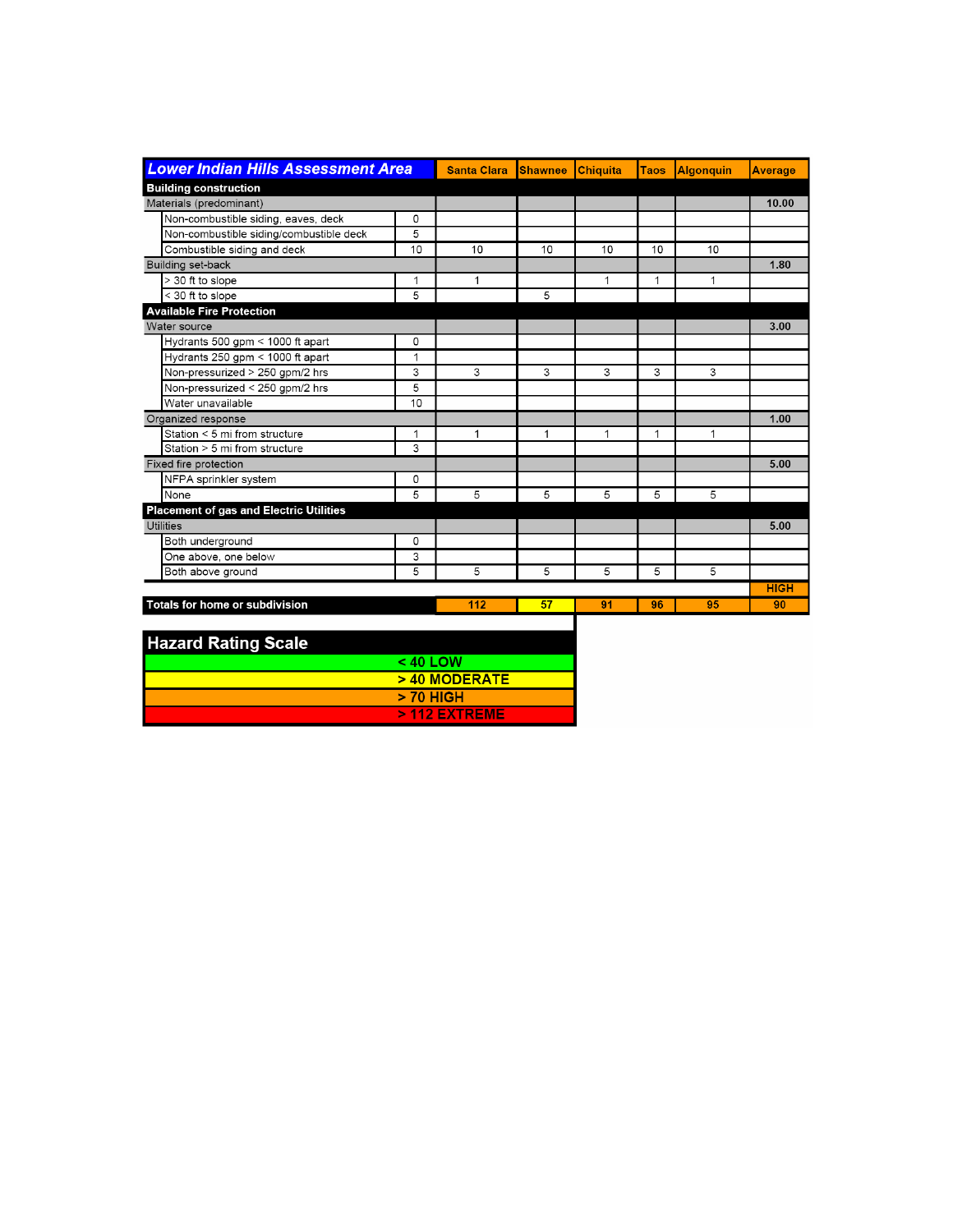| <b>Lower Indian Hills Assessment Area</b>      |          | <b>Santa Clara</b>  | <b>Shawnee</b> | <b>Chiquita</b> | <b>Taos</b> | <b>Algonguin</b> | <b>Average</b> |
|------------------------------------------------|----------|---------------------|----------------|-----------------|-------------|------------------|----------------|
| <b>Building construction</b>                   |          |                     |                |                 |             |                  |                |
| Materials (predominant)                        |          |                     |                |                 |             |                  | 10.00          |
| Non-combustible siding, eaves, deck            | 0        |                     |                |                 |             |                  |                |
| Non-combustible siding/combustible deck        | 5        |                     |                |                 |             |                  |                |
| Combustible siding and deck                    | 10       | 10                  | 10             | 10              | 10          | 10               |                |
| <b>Building set-back</b>                       |          |                     |                |                 |             |                  | 1.80           |
| > 30 ft to slope                               | 1        | 1                   |                | 1               | 1           | 1                |                |
| < 30 ft to slope                               | 5        |                     | 5              |                 |             |                  |                |
| <b>Available Fire Protection</b>               |          |                     |                |                 |             |                  |                |
| Water source                                   |          |                     |                |                 |             |                  | 3.00           |
| Hydrants 500 gpm < 1000 ft apart               | 0        |                     |                |                 |             |                  |                |
| Hydrants 250 gpm < 1000 ft apart               | 1        |                     |                |                 |             |                  |                |
| Non-pressurized > 250 gpm/2 hrs                | 3        | 3                   | 3              | 3               | 3           | 3                |                |
| Non-pressurized < 250 gpm/2 hrs                | 5        |                     |                |                 |             |                  |                |
| Water unavailable                              | 10       |                     |                |                 |             |                  |                |
| Organized response                             |          |                     |                |                 |             |                  | 1.00           |
| Station < 5 mi from structure                  | 1        | 1                   | $\mathbf{1}$   | 1               | 1           | 1                |                |
| Station > 5 mi from structure                  | 3        |                     |                |                 |             |                  |                |
| Fixed fire protection                          |          |                     |                |                 |             |                  | 5.00           |
| NFPA sprinkler system                          | 0        |                     |                |                 |             |                  |                |
| None                                           | 5        | 5                   | 5              | 5               | 5           | 5                |                |
| <b>Placement of gas and Electric Utilities</b> |          |                     |                |                 |             |                  |                |
| Utilities                                      |          |                     |                |                 |             |                  | 5.00           |
| Both underground                               | 0        |                     |                |                 |             |                  |                |
| One above, one below                           | 3        |                     |                |                 |             |                  |                |
| Both above ground                              | 5        | 5                   | 5              | 5               | 5           | 5                |                |
|                                                |          |                     |                |                 |             |                  | <b>HIGH</b>    |
| Totals for home or subdivision                 |          | 112                 | 57             | 91              | 96          | 95               | 90             |
|                                                |          |                     |                |                 |             |                  |                |
| <b>Hazard Rating Scale</b>                     |          |                     |                |                 |             |                  |                |
|                                                |          |                     |                |                 |             |                  |                |
|                                                | < 40 LOW | $\sim$ 40 MODED ATE |                |                 |             |                  |                |

| <b>Hazard Rating Scale</b> |                 |
|----------------------------|-----------------|
|                            | $< 40$ LOW      |
|                            | $>$ 40 MODERATE |
|                            | > 70 HIGH       |
|                            | $>$ 112 EXTREME |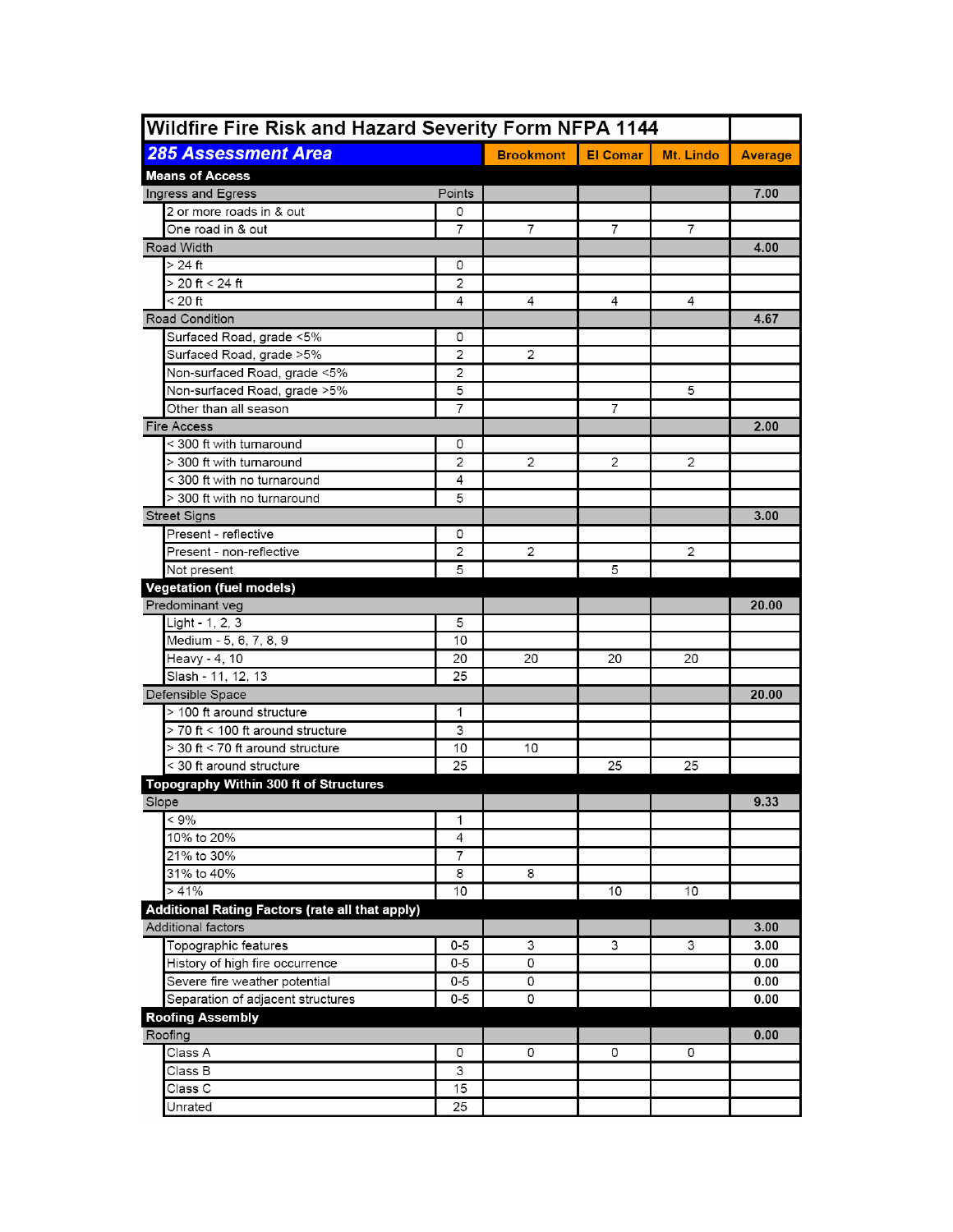| <b>285 Assessment Area</b><br><b>Brookmont</b><br><b>El Comar</b><br>Mt. Lindo<br><b>Average</b><br><b>Means of Access</b><br>7.00<br>Ingress and Egress<br>Points<br>2 or more roads in & out<br>0<br>$\overline{7}$<br>One road in & out<br>7<br>7<br>7<br>Road Width<br>4.00<br>> 24 ft<br>0<br>> 20 ft < 24 ft<br>2<br>< 20 ft<br>4<br>4<br>4<br>4<br><b>Road Condition</b><br>4.67<br>Surfaced Road, grade <5%<br>0<br>$\overline{c}$<br>$\overline{2}$<br>Surfaced Road, grade >5%<br>$\overline{2}$<br>Non-surfaced Road, grade <5%<br>Non-surfaced Road, grade >5%<br>5<br>5<br>7<br>7<br>Other than all season<br><b>Fire Access</b><br>2.00<br>< 300 ft with turnaround<br>0<br>$\overline{2}$<br>2<br>> 300 ft with turnaround<br>2<br>2<br>4<br>< 300 ft with no turnaround<br>> 300 ft with no turnaround<br>5<br><b>Street Signs</b><br>3.00<br>Present - reflective<br>0<br>2<br>Present - non-reflective<br>2<br>2<br>5<br>5<br>Not present<br><b>Vegetation (fuel models)</b><br>Predominant veg<br>20.00<br>Light - 1, 2, 3<br>5<br>Medium - 5, 6, 7, 8, 9<br>10<br>Heavy - 4, 10<br>20<br>20<br>20<br>20<br>25<br>Slash - 11, 12, 13<br>Defensible Space<br>20.00<br>> 100 ft around structure<br>1<br>> 70 ft < 100 ft around structure<br>3<br>$>$ 30 ft $<$ 70 ft around structure<br>10<br>10<br>< 30 ft around structure<br>25<br>25<br>25<br>Topography Within 300 ft of Structures<br>Slope<br>9.33<br>$< 9\%$<br>1<br>10% to 20%<br>4<br>21% to 30%<br>$\overline{7}$<br>31% to 40%<br>8<br>8<br>>41%<br>10<br>10<br>10<br><b>Additional Rating Factors (rate all that apply)</b><br><b>Additional factors</b><br>3.00<br>Topographic features<br>0-5<br>3<br>3<br>3<br>3.00<br>History of high fire occurrence<br>$0 - 5$<br>0<br>0.00<br>Severe fire weather potential<br>$0 - 5$<br>0<br>0.00<br>Separation of adjacent structures<br>$0 - 5$<br>0<br>0.00<br><b>Roofing Assembly</b><br>Roofing<br>0.00<br>Class A<br>0<br>0<br>0<br>0<br>3<br>Class B<br>Class C<br>15<br>Unrated<br>25 | Wildfire Fire Risk and Hazard Severity Form NFPA 1144 |  |  |  |  |  |
|-------------------------------------------------------------------------------------------------------------------------------------------------------------------------------------------------------------------------------------------------------------------------------------------------------------------------------------------------------------------------------------------------------------------------------------------------------------------------------------------------------------------------------------------------------------------------------------------------------------------------------------------------------------------------------------------------------------------------------------------------------------------------------------------------------------------------------------------------------------------------------------------------------------------------------------------------------------------------------------------------------------------------------------------------------------------------------------------------------------------------------------------------------------------------------------------------------------------------------------------------------------------------------------------------------------------------------------------------------------------------------------------------------------------------------------------------------------------------------------------------------------------------------------------------------------------------------------------------------------------------------------------------------------------------------------------------------------------------------------------------------------------------------------------------------------------------------------------------------------------------------------------------------------------------------------------------------------------------------------------------------------------------|-------------------------------------------------------|--|--|--|--|--|
|                                                                                                                                                                                                                                                                                                                                                                                                                                                                                                                                                                                                                                                                                                                                                                                                                                                                                                                                                                                                                                                                                                                                                                                                                                                                                                                                                                                                                                                                                                                                                                                                                                                                                                                                                                                                                                                                                                                                                                                                                         |                                                       |  |  |  |  |  |
|                                                                                                                                                                                                                                                                                                                                                                                                                                                                                                                                                                                                                                                                                                                                                                                                                                                                                                                                                                                                                                                                                                                                                                                                                                                                                                                                                                                                                                                                                                                                                                                                                                                                                                                                                                                                                                                                                                                                                                                                                         |                                                       |  |  |  |  |  |
|                                                                                                                                                                                                                                                                                                                                                                                                                                                                                                                                                                                                                                                                                                                                                                                                                                                                                                                                                                                                                                                                                                                                                                                                                                                                                                                                                                                                                                                                                                                                                                                                                                                                                                                                                                                                                                                                                                                                                                                                                         |                                                       |  |  |  |  |  |
|                                                                                                                                                                                                                                                                                                                                                                                                                                                                                                                                                                                                                                                                                                                                                                                                                                                                                                                                                                                                                                                                                                                                                                                                                                                                                                                                                                                                                                                                                                                                                                                                                                                                                                                                                                                                                                                                                                                                                                                                                         |                                                       |  |  |  |  |  |
|                                                                                                                                                                                                                                                                                                                                                                                                                                                                                                                                                                                                                                                                                                                                                                                                                                                                                                                                                                                                                                                                                                                                                                                                                                                                                                                                                                                                                                                                                                                                                                                                                                                                                                                                                                                                                                                                                                                                                                                                                         |                                                       |  |  |  |  |  |
|                                                                                                                                                                                                                                                                                                                                                                                                                                                                                                                                                                                                                                                                                                                                                                                                                                                                                                                                                                                                                                                                                                                                                                                                                                                                                                                                                                                                                                                                                                                                                                                                                                                                                                                                                                                                                                                                                                                                                                                                                         |                                                       |  |  |  |  |  |
|                                                                                                                                                                                                                                                                                                                                                                                                                                                                                                                                                                                                                                                                                                                                                                                                                                                                                                                                                                                                                                                                                                                                                                                                                                                                                                                                                                                                                                                                                                                                                                                                                                                                                                                                                                                                                                                                                                                                                                                                                         |                                                       |  |  |  |  |  |
|                                                                                                                                                                                                                                                                                                                                                                                                                                                                                                                                                                                                                                                                                                                                                                                                                                                                                                                                                                                                                                                                                                                                                                                                                                                                                                                                                                                                                                                                                                                                                                                                                                                                                                                                                                                                                                                                                                                                                                                                                         |                                                       |  |  |  |  |  |
|                                                                                                                                                                                                                                                                                                                                                                                                                                                                                                                                                                                                                                                                                                                                                                                                                                                                                                                                                                                                                                                                                                                                                                                                                                                                                                                                                                                                                                                                                                                                                                                                                                                                                                                                                                                                                                                                                                                                                                                                                         |                                                       |  |  |  |  |  |
|                                                                                                                                                                                                                                                                                                                                                                                                                                                                                                                                                                                                                                                                                                                                                                                                                                                                                                                                                                                                                                                                                                                                                                                                                                                                                                                                                                                                                                                                                                                                                                                                                                                                                                                                                                                                                                                                                                                                                                                                                         |                                                       |  |  |  |  |  |
|                                                                                                                                                                                                                                                                                                                                                                                                                                                                                                                                                                                                                                                                                                                                                                                                                                                                                                                                                                                                                                                                                                                                                                                                                                                                                                                                                                                                                                                                                                                                                                                                                                                                                                                                                                                                                                                                                                                                                                                                                         |                                                       |  |  |  |  |  |
|                                                                                                                                                                                                                                                                                                                                                                                                                                                                                                                                                                                                                                                                                                                                                                                                                                                                                                                                                                                                                                                                                                                                                                                                                                                                                                                                                                                                                                                                                                                                                                                                                                                                                                                                                                                                                                                                                                                                                                                                                         |                                                       |  |  |  |  |  |
|                                                                                                                                                                                                                                                                                                                                                                                                                                                                                                                                                                                                                                                                                                                                                                                                                                                                                                                                                                                                                                                                                                                                                                                                                                                                                                                                                                                                                                                                                                                                                                                                                                                                                                                                                                                                                                                                                                                                                                                                                         |                                                       |  |  |  |  |  |
|                                                                                                                                                                                                                                                                                                                                                                                                                                                                                                                                                                                                                                                                                                                                                                                                                                                                                                                                                                                                                                                                                                                                                                                                                                                                                                                                                                                                                                                                                                                                                                                                                                                                                                                                                                                                                                                                                                                                                                                                                         |                                                       |  |  |  |  |  |
|                                                                                                                                                                                                                                                                                                                                                                                                                                                                                                                                                                                                                                                                                                                                                                                                                                                                                                                                                                                                                                                                                                                                                                                                                                                                                                                                                                                                                                                                                                                                                                                                                                                                                                                                                                                                                                                                                                                                                                                                                         |                                                       |  |  |  |  |  |
|                                                                                                                                                                                                                                                                                                                                                                                                                                                                                                                                                                                                                                                                                                                                                                                                                                                                                                                                                                                                                                                                                                                                                                                                                                                                                                                                                                                                                                                                                                                                                                                                                                                                                                                                                                                                                                                                                                                                                                                                                         |                                                       |  |  |  |  |  |
|                                                                                                                                                                                                                                                                                                                                                                                                                                                                                                                                                                                                                                                                                                                                                                                                                                                                                                                                                                                                                                                                                                                                                                                                                                                                                                                                                                                                                                                                                                                                                                                                                                                                                                                                                                                                                                                                                                                                                                                                                         |                                                       |  |  |  |  |  |
|                                                                                                                                                                                                                                                                                                                                                                                                                                                                                                                                                                                                                                                                                                                                                                                                                                                                                                                                                                                                                                                                                                                                                                                                                                                                                                                                                                                                                                                                                                                                                                                                                                                                                                                                                                                                                                                                                                                                                                                                                         |                                                       |  |  |  |  |  |
|                                                                                                                                                                                                                                                                                                                                                                                                                                                                                                                                                                                                                                                                                                                                                                                                                                                                                                                                                                                                                                                                                                                                                                                                                                                                                                                                                                                                                                                                                                                                                                                                                                                                                                                                                                                                                                                                                                                                                                                                                         |                                                       |  |  |  |  |  |
|                                                                                                                                                                                                                                                                                                                                                                                                                                                                                                                                                                                                                                                                                                                                                                                                                                                                                                                                                                                                                                                                                                                                                                                                                                                                                                                                                                                                                                                                                                                                                                                                                                                                                                                                                                                                                                                                                                                                                                                                                         |                                                       |  |  |  |  |  |
|                                                                                                                                                                                                                                                                                                                                                                                                                                                                                                                                                                                                                                                                                                                                                                                                                                                                                                                                                                                                                                                                                                                                                                                                                                                                                                                                                                                                                                                                                                                                                                                                                                                                                                                                                                                                                                                                                                                                                                                                                         |                                                       |  |  |  |  |  |
|                                                                                                                                                                                                                                                                                                                                                                                                                                                                                                                                                                                                                                                                                                                                                                                                                                                                                                                                                                                                                                                                                                                                                                                                                                                                                                                                                                                                                                                                                                                                                                                                                                                                                                                                                                                                                                                                                                                                                                                                                         |                                                       |  |  |  |  |  |
|                                                                                                                                                                                                                                                                                                                                                                                                                                                                                                                                                                                                                                                                                                                                                                                                                                                                                                                                                                                                                                                                                                                                                                                                                                                                                                                                                                                                                                                                                                                                                                                                                                                                                                                                                                                                                                                                                                                                                                                                                         |                                                       |  |  |  |  |  |
|                                                                                                                                                                                                                                                                                                                                                                                                                                                                                                                                                                                                                                                                                                                                                                                                                                                                                                                                                                                                                                                                                                                                                                                                                                                                                                                                                                                                                                                                                                                                                                                                                                                                                                                                                                                                                                                                                                                                                                                                                         |                                                       |  |  |  |  |  |
|                                                                                                                                                                                                                                                                                                                                                                                                                                                                                                                                                                                                                                                                                                                                                                                                                                                                                                                                                                                                                                                                                                                                                                                                                                                                                                                                                                                                                                                                                                                                                                                                                                                                                                                                                                                                                                                                                                                                                                                                                         |                                                       |  |  |  |  |  |
|                                                                                                                                                                                                                                                                                                                                                                                                                                                                                                                                                                                                                                                                                                                                                                                                                                                                                                                                                                                                                                                                                                                                                                                                                                                                                                                                                                                                                                                                                                                                                                                                                                                                                                                                                                                                                                                                                                                                                                                                                         |                                                       |  |  |  |  |  |
|                                                                                                                                                                                                                                                                                                                                                                                                                                                                                                                                                                                                                                                                                                                                                                                                                                                                                                                                                                                                                                                                                                                                                                                                                                                                                                                                                                                                                                                                                                                                                                                                                                                                                                                                                                                                                                                                                                                                                                                                                         |                                                       |  |  |  |  |  |
|                                                                                                                                                                                                                                                                                                                                                                                                                                                                                                                                                                                                                                                                                                                                                                                                                                                                                                                                                                                                                                                                                                                                                                                                                                                                                                                                                                                                                                                                                                                                                                                                                                                                                                                                                                                                                                                                                                                                                                                                                         |                                                       |  |  |  |  |  |
|                                                                                                                                                                                                                                                                                                                                                                                                                                                                                                                                                                                                                                                                                                                                                                                                                                                                                                                                                                                                                                                                                                                                                                                                                                                                                                                                                                                                                                                                                                                                                                                                                                                                                                                                                                                                                                                                                                                                                                                                                         |                                                       |  |  |  |  |  |
|                                                                                                                                                                                                                                                                                                                                                                                                                                                                                                                                                                                                                                                                                                                                                                                                                                                                                                                                                                                                                                                                                                                                                                                                                                                                                                                                                                                                                                                                                                                                                                                                                                                                                                                                                                                                                                                                                                                                                                                                                         |                                                       |  |  |  |  |  |
|                                                                                                                                                                                                                                                                                                                                                                                                                                                                                                                                                                                                                                                                                                                                                                                                                                                                                                                                                                                                                                                                                                                                                                                                                                                                                                                                                                                                                                                                                                                                                                                                                                                                                                                                                                                                                                                                                                                                                                                                                         |                                                       |  |  |  |  |  |
|                                                                                                                                                                                                                                                                                                                                                                                                                                                                                                                                                                                                                                                                                                                                                                                                                                                                                                                                                                                                                                                                                                                                                                                                                                                                                                                                                                                                                                                                                                                                                                                                                                                                                                                                                                                                                                                                                                                                                                                                                         |                                                       |  |  |  |  |  |
|                                                                                                                                                                                                                                                                                                                                                                                                                                                                                                                                                                                                                                                                                                                                                                                                                                                                                                                                                                                                                                                                                                                                                                                                                                                                                                                                                                                                                                                                                                                                                                                                                                                                                                                                                                                                                                                                                                                                                                                                                         |                                                       |  |  |  |  |  |
|                                                                                                                                                                                                                                                                                                                                                                                                                                                                                                                                                                                                                                                                                                                                                                                                                                                                                                                                                                                                                                                                                                                                                                                                                                                                                                                                                                                                                                                                                                                                                                                                                                                                                                                                                                                                                                                                                                                                                                                                                         |                                                       |  |  |  |  |  |
|                                                                                                                                                                                                                                                                                                                                                                                                                                                                                                                                                                                                                                                                                                                                                                                                                                                                                                                                                                                                                                                                                                                                                                                                                                                                                                                                                                                                                                                                                                                                                                                                                                                                                                                                                                                                                                                                                                                                                                                                                         |                                                       |  |  |  |  |  |
|                                                                                                                                                                                                                                                                                                                                                                                                                                                                                                                                                                                                                                                                                                                                                                                                                                                                                                                                                                                                                                                                                                                                                                                                                                                                                                                                                                                                                                                                                                                                                                                                                                                                                                                                                                                                                                                                                                                                                                                                                         |                                                       |  |  |  |  |  |
|                                                                                                                                                                                                                                                                                                                                                                                                                                                                                                                                                                                                                                                                                                                                                                                                                                                                                                                                                                                                                                                                                                                                                                                                                                                                                                                                                                                                                                                                                                                                                                                                                                                                                                                                                                                                                                                                                                                                                                                                                         |                                                       |  |  |  |  |  |
|                                                                                                                                                                                                                                                                                                                                                                                                                                                                                                                                                                                                                                                                                                                                                                                                                                                                                                                                                                                                                                                                                                                                                                                                                                                                                                                                                                                                                                                                                                                                                                                                                                                                                                                                                                                                                                                                                                                                                                                                                         |                                                       |  |  |  |  |  |
|                                                                                                                                                                                                                                                                                                                                                                                                                                                                                                                                                                                                                                                                                                                                                                                                                                                                                                                                                                                                                                                                                                                                                                                                                                                                                                                                                                                                                                                                                                                                                                                                                                                                                                                                                                                                                                                                                                                                                                                                                         |                                                       |  |  |  |  |  |
|                                                                                                                                                                                                                                                                                                                                                                                                                                                                                                                                                                                                                                                                                                                                                                                                                                                                                                                                                                                                                                                                                                                                                                                                                                                                                                                                                                                                                                                                                                                                                                                                                                                                                                                                                                                                                                                                                                                                                                                                                         |                                                       |  |  |  |  |  |
|                                                                                                                                                                                                                                                                                                                                                                                                                                                                                                                                                                                                                                                                                                                                                                                                                                                                                                                                                                                                                                                                                                                                                                                                                                                                                                                                                                                                                                                                                                                                                                                                                                                                                                                                                                                                                                                                                                                                                                                                                         |                                                       |  |  |  |  |  |
|                                                                                                                                                                                                                                                                                                                                                                                                                                                                                                                                                                                                                                                                                                                                                                                                                                                                                                                                                                                                                                                                                                                                                                                                                                                                                                                                                                                                                                                                                                                                                                                                                                                                                                                                                                                                                                                                                                                                                                                                                         |                                                       |  |  |  |  |  |
|                                                                                                                                                                                                                                                                                                                                                                                                                                                                                                                                                                                                                                                                                                                                                                                                                                                                                                                                                                                                                                                                                                                                                                                                                                                                                                                                                                                                                                                                                                                                                                                                                                                                                                                                                                                                                                                                                                                                                                                                                         |                                                       |  |  |  |  |  |
|                                                                                                                                                                                                                                                                                                                                                                                                                                                                                                                                                                                                                                                                                                                                                                                                                                                                                                                                                                                                                                                                                                                                                                                                                                                                                                                                                                                                                                                                                                                                                                                                                                                                                                                                                                                                                                                                                                                                                                                                                         |                                                       |  |  |  |  |  |
|                                                                                                                                                                                                                                                                                                                                                                                                                                                                                                                                                                                                                                                                                                                                                                                                                                                                                                                                                                                                                                                                                                                                                                                                                                                                                                                                                                                                                                                                                                                                                                                                                                                                                                                                                                                                                                                                                                                                                                                                                         |                                                       |  |  |  |  |  |
|                                                                                                                                                                                                                                                                                                                                                                                                                                                                                                                                                                                                                                                                                                                                                                                                                                                                                                                                                                                                                                                                                                                                                                                                                                                                                                                                                                                                                                                                                                                                                                                                                                                                                                                                                                                                                                                                                                                                                                                                                         |                                                       |  |  |  |  |  |
|                                                                                                                                                                                                                                                                                                                                                                                                                                                                                                                                                                                                                                                                                                                                                                                                                                                                                                                                                                                                                                                                                                                                                                                                                                                                                                                                                                                                                                                                                                                                                                                                                                                                                                                                                                                                                                                                                                                                                                                                                         |                                                       |  |  |  |  |  |
|                                                                                                                                                                                                                                                                                                                                                                                                                                                                                                                                                                                                                                                                                                                                                                                                                                                                                                                                                                                                                                                                                                                                                                                                                                                                                                                                                                                                                                                                                                                                                                                                                                                                                                                                                                                                                                                                                                                                                                                                                         |                                                       |  |  |  |  |  |
|                                                                                                                                                                                                                                                                                                                                                                                                                                                                                                                                                                                                                                                                                                                                                                                                                                                                                                                                                                                                                                                                                                                                                                                                                                                                                                                                                                                                                                                                                                                                                                                                                                                                                                                                                                                                                                                                                                                                                                                                                         |                                                       |  |  |  |  |  |
|                                                                                                                                                                                                                                                                                                                                                                                                                                                                                                                                                                                                                                                                                                                                                                                                                                                                                                                                                                                                                                                                                                                                                                                                                                                                                                                                                                                                                                                                                                                                                                                                                                                                                                                                                                                                                                                                                                                                                                                                                         |                                                       |  |  |  |  |  |
|                                                                                                                                                                                                                                                                                                                                                                                                                                                                                                                                                                                                                                                                                                                                                                                                                                                                                                                                                                                                                                                                                                                                                                                                                                                                                                                                                                                                                                                                                                                                                                                                                                                                                                                                                                                                                                                                                                                                                                                                                         |                                                       |  |  |  |  |  |
|                                                                                                                                                                                                                                                                                                                                                                                                                                                                                                                                                                                                                                                                                                                                                                                                                                                                                                                                                                                                                                                                                                                                                                                                                                                                                                                                                                                                                                                                                                                                                                                                                                                                                                                                                                                                                                                                                                                                                                                                                         |                                                       |  |  |  |  |  |
|                                                                                                                                                                                                                                                                                                                                                                                                                                                                                                                                                                                                                                                                                                                                                                                                                                                                                                                                                                                                                                                                                                                                                                                                                                                                                                                                                                                                                                                                                                                                                                                                                                                                                                                                                                                                                                                                                                                                                                                                                         |                                                       |  |  |  |  |  |
|                                                                                                                                                                                                                                                                                                                                                                                                                                                                                                                                                                                                                                                                                                                                                                                                                                                                                                                                                                                                                                                                                                                                                                                                                                                                                                                                                                                                                                                                                                                                                                                                                                                                                                                                                                                                                                                                                                                                                                                                                         |                                                       |  |  |  |  |  |
|                                                                                                                                                                                                                                                                                                                                                                                                                                                                                                                                                                                                                                                                                                                                                                                                                                                                                                                                                                                                                                                                                                                                                                                                                                                                                                                                                                                                                                                                                                                                                                                                                                                                                                                                                                                                                                                                                                                                                                                                                         |                                                       |  |  |  |  |  |